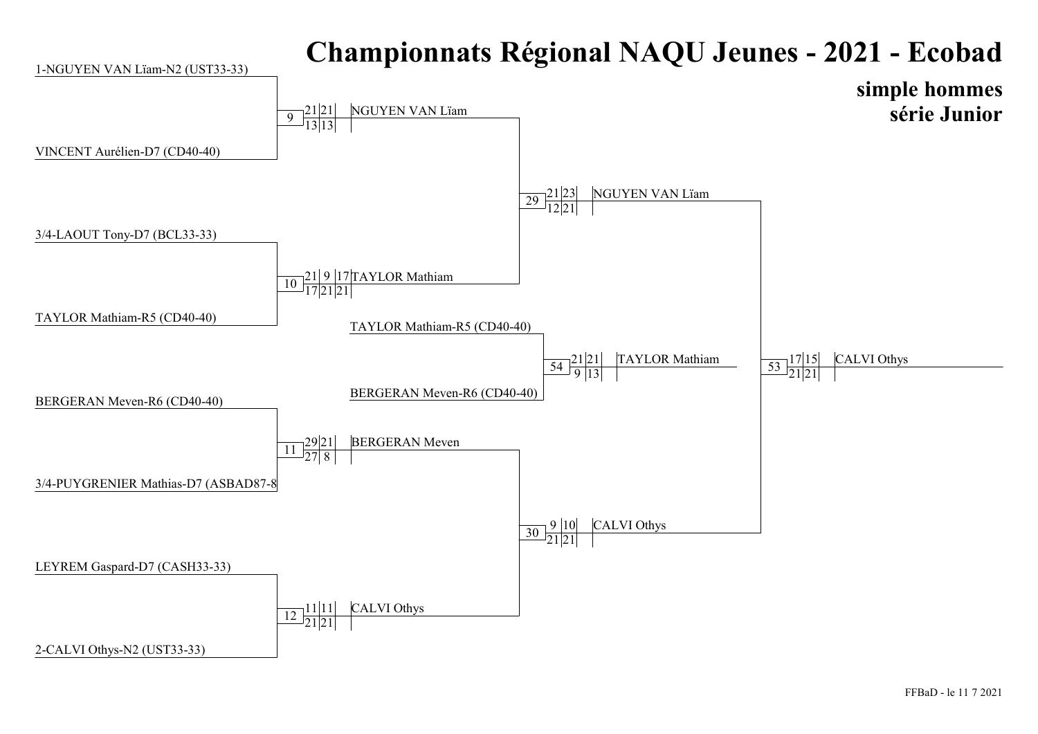

## FFBaD - le 11 7 2021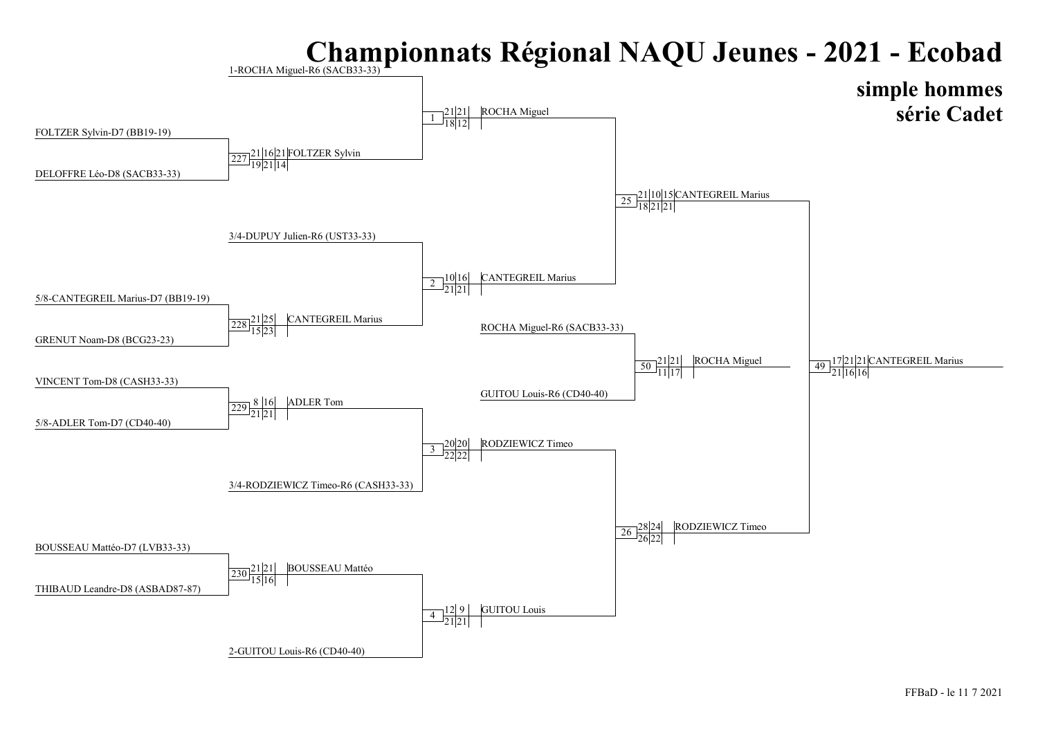## Championnats Régional NAQU Jeunes - 2021 - Ecobad

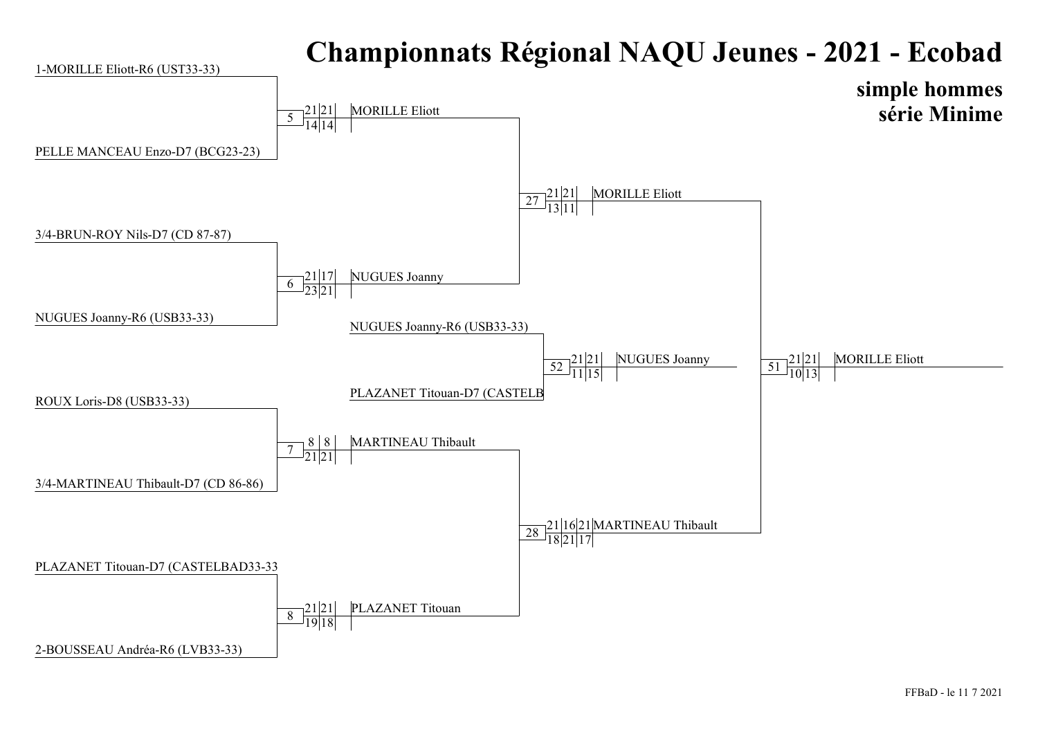

## FFBaD - le 11 7 2021